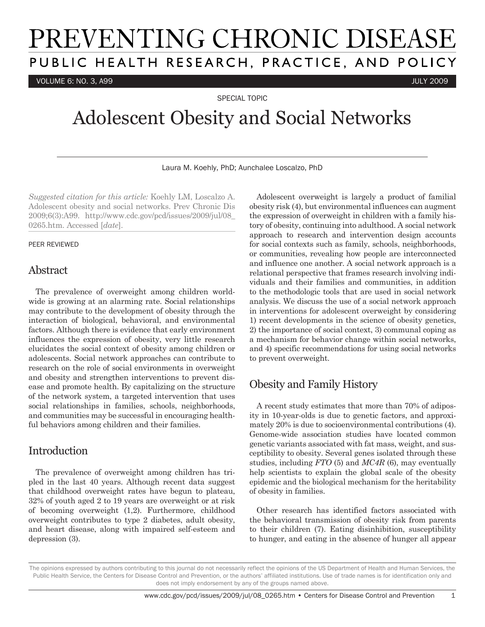# PREVENTING CHRONIC DISEASE PUBLIC HEALTH RESEARCH, PRACTICE, AND POLICY

VOLUME 6: NO. 3, A99 JULY 2009

SPECIAL TOPIC

# Adolescent Obesity and Social Networks

Laura M. Koehly, PhD; Aunchalee Loscalzo, PhD

*Suggested citation for this article:* Koehly LM, Loscalzo A. Adolescent obesity and social networks. Prev Chronic Dis 2009;6(3):A99. http://www.cdc.gov/pcd/issues/2009/jul/08\_ 0265.htm. Accessed [*date*].

#### PEER REVIEWED

### Abstract

The prevalence of overweight among children worldwide is growing at an alarming rate. Social relationships may contribute to the development of obesity through the interaction of biological, behavioral, and environmental factors. Although there is evidence that early environment influences the expression of obesity, very little research elucidates the social context of obesity among children or adolescents. Social network approaches can contribute to research on the role of social environments in overweight and obesity and strengthen interventions to prevent disease and promote health. By capitalizing on the structure of the network system, a targeted intervention that uses social relationships in families, schools, neighborhoods, and communities may be successful in encouraging healthful behaviors among children and their families.

## Introduction

The prevalence of overweight among children has tripled in the last 40 years. Although recent data suggest that childhood overweight rates have begun to plateau, 32% of youth aged 2 to 19 years are overweight or at risk of becoming overweight (1,2). Furthermore, childhood overweight contributes to type 2 diabetes, adult obesity, and heart disease, along with impaired self-esteem and depression (3).

Adolescent overweight is largely a product of familial obesity risk (4), but environmental influences can augment the expression of overweight in children with a family history of obesity, continuing into adulthood. A social network approach to research and intervention design accounts for social contexts such as family, schools, neighborhoods, or communities, revealing how people are interconnected and influence one another. A social network approach is a relational perspective that frames research involving individuals and their families and communities, in addition to the methodologic tools that are used in social network analysis. We discuss the use of a social network approach in interventions for adolescent overweight by considering 1) recent developments in the science of obesity genetics, 2) the importance of social context, 3) communal coping as a mechanism for behavior change within social networks, and 4) specific recommendations for using social networks to prevent overweight.

# Obesity and Family History

A recent study estimates that more than 70% of adiposity in 10-year-olds is due to genetic factors, and approximately 20% is due to socioenvironmental contributions (4). Genome-wide association studies have located common genetic variants associated with fat mass, weight, and susceptibility to obesity. Several genes isolated through these studies, including *FTO* (5) and *MC4R* (6), may eventually help scientists to explain the global scale of the obesity epidemic and the biological mechanism for the heritability of obesity in families.

Other research has identified factors associated with the behavioral transmission of obesity risk from parents to their children (7). Eating disinhibition, susceptibility to hunger, and eating in the absence of hunger all appear

The opinions expressed by authors contributing to this journal do not necessarily reflect the opinions of the US Department of Health and Human Services, the Public Health Service, the Centers for Disease Control and Prevention, or the authors' affiliated institutions. Use of trade names is for identification only and does not imply endorsement by any of the groups named above.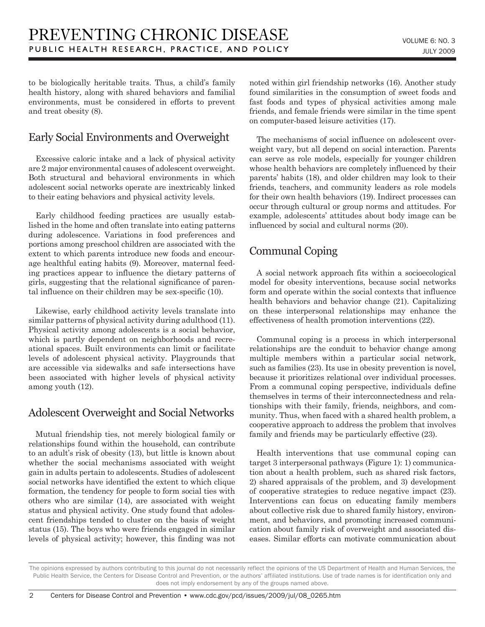to be biologically heritable traits. Thus, a child's family health history, along with shared behaviors and familial environments, must be considered in efforts to prevent and treat obesity (8).

## Early Social Environments and Overweight

Excessive caloric intake and a lack of physical activity are 2 major environmental causes of adolescent overweight. Both structural and behavioral environments in which adolescent social networks operate are inextricably linked to their eating behaviors and physical activity levels.

Early childhood feeding practices are usually established in the home and often translate into eating patterns during adolescence. Variations in food preferences and portions among preschool children are associated with the extent to which parents introduce new foods and encourage healthful eating habits (9). Moreover, maternal feeding practices appear to influence the dietary patterns of girls, suggesting that the relational significance of parental influence on their children may be sex-specific (10).

Likewise, early childhood activity levels translate into similar patterns of physical activity during adulthood (11). Physical activity among adolescents is a social behavior, which is partly dependent on neighborhoods and recreational spaces. Built environments can limit or facilitate levels of adolescent physical activity. Playgrounds that are accessible via sidewalks and safe intersections have been associated with higher levels of physical activity among youth (12).

# Adolescent Overweight and Social Networks

Mutual friendship ties, not merely biological family or relationships found within the household, can contribute to an adult's risk of obesity (13), but little is known about whether the social mechanisms associated with weight gain in adults pertain to adolescents. Studies of adolescent social networks have identified the extent to which clique formation, the tendency for people to form social ties with others who are similar (14), are associated with weight status and physical activity. One study found that adolescent friendships tended to cluster on the basis of weight status (15). The boys who were friends engaged in similar levels of physical activity; however, this finding was not noted within girl friendship networks (16). Another study found similarities in the consumption of sweet foods and fast foods and types of physical activities among male friends, and female friends were similar in the time spent on computer-based leisure activities (17).

The mechanisms of social influence on adolescent overweight vary, but all depend on social interaction. Parents can serve as role models, especially for younger children whose health behaviors are completely influenced by their parents' habits (18), and older children may look to their friends, teachers, and community leaders as role models for their own health behaviors (19). Indirect processes can occur through cultural or group norms and attitudes. For example, adolescents' attitudes about body image can be influenced by social and cultural norms (20).

# Communal Coping

A social network approach fits within a socioecological model for obesity interventions, because social networks form and operate within the social contexts that influence health behaviors and behavior change (21). Capitalizing on these interpersonal relationships may enhance the effectiveness of health promotion interventions (22).

Communal coping is a process in which interpersonal relationships are the conduit to behavior change among multiple members within a particular social network, such as families (23). Its use in obesity prevention is novel, because it prioritizes relational over individual processes. From a communal coping perspective, individuals define themselves in terms of their interconnectedness and relationships with their family, friends, neighbors, and community. Thus, when faced with a shared health problem, a cooperative approach to address the problem that involves family and friends may be particularly effective (23).

Health interventions that use communal coping can target 3 interpersonal pathways (Figure 1): 1) communication about a health problem, such as shared risk factors, 2) shared appraisals of the problem, and 3) development of cooperative strategies to reduce negative impact (23). Interventions can focus on educating family members about collective risk due to shared family history, environment, and behaviors, and promoting increased communication about family risk of overweight and associated diseases. Similar efforts can motivate communication about

The opinions expressed by authors contributing to this journal do not necessarily reflect the opinions of the US Department of Health and Human Services, the Public Health Service, the Centers for Disease Control and Prevention, or the authors' affiliated institutions. Use of trade names is for identification only and does not imply endorsement by any of the groups named above.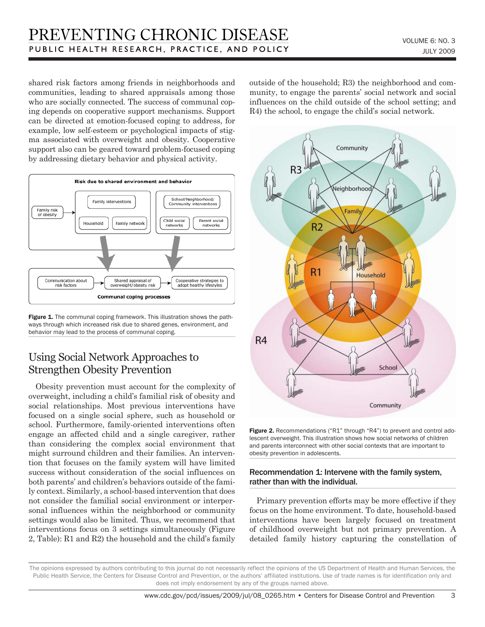shared risk factors among friends in neighborhoods and communities, leading to shared appraisals among those who are socially connected. The success of communal coping depends on cooperative support mechanisms. Support can be directed at emotion-focused coping to address, for example, low self-esteem or psychological impacts of stigma associated with overweight and obesity. Cooperative support also can be geared toward problem-focused coping by addressing dietary behavior and physical activity.



Figure 1. The communal coping framework. This illustration shows the pathways through which increased risk due to shared genes, environment, and behavior may lead to the process of communal coping.

## Using Social Network Approaches to Strengthen Obesity Prevention

Obesity prevention must account for the complexity of overweight, including a child's familial risk of obesity and social relationships. Most previous interventions have focused on a single social sphere, such as household or school. Furthermore, family-oriented interventions often engage an affected child and a single caregiver, rather than considering the complex social environment that might surround children and their families. An intervention that focuses on the family system will have limited success without consideration of the social influences on both parents' and children's behaviors outside of the family context. Similarly, a school-based intervention that does not consider the familial social environment or interpersonal influences within the neighborhood or community settings would also be limited. Thus, we recommend that interventions focus on 3 settings simultaneously (Figure 2, Table): R1 and R2) the household and the child's family outside of the household; R3) the neighborhood and community, to engage the parents' social network and social influences on the child outside of the school setting; and R4) the school, to engage the child's social network.



Figure 2. Recommendations ("R1" through "R4") to prevent and control adolescent overweight. This illustration shows how social networks of children and parents interconnect with other social contexts that are important to obesity prevention in adolescents.

#### Recommendation 1: Intervene with the family system, rather than with the individual.

Primary prevention efforts may be more effective if they focus on the home environment. To date, household-based interventions have been largely focused on treatment of childhood overweight but not primary prevention. A detailed family history capturing the constellation of

The opinions expressed by authors contributing to this journal do not necessarily reflect the opinions of the US Department of Health and Human Services, the Public Health Service, the Centers for Disease Control and Prevention, or the authors' affiliated institutions. Use of trade names is for identification only and does not imply endorsement by any of the groups named above.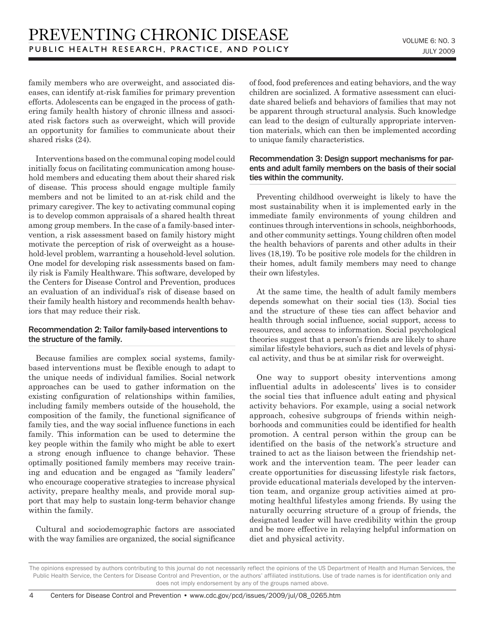family members who are overweight, and associated diseases, can identify at-risk families for primary prevention efforts. Adolescents can be engaged in the process of gathering family health history of chronic illness and associated risk factors such as overweight, which will provide an opportunity for families to communicate about their shared risks (24).

Interventions based on the communal coping model could initially focus on facilitating communication among household members and educating them about their shared risk of disease. This process should engage multiple family members and not be limited to an at-risk child and the primary caregiver. The key to activating communal coping is to develop common appraisals of a shared health threat among group members. In the case of a family-based intervention, a risk assessment based on family history might motivate the perception of risk of overweight as a household-level problem, warranting a household-level solution. One model for developing risk assessments based on family risk is Family Healthware. This software, developed by the Centers for Disease Control and Prevention, produces an evaluation of an individual's risk of disease based on their family health history and recommends health behaviors that may reduce their risk.

#### Recommendation 2: Tailor family-based interventions to the structure of the family.

Because families are complex social systems, familybased interventions must be flexible enough to adapt to the unique needs of individual families. Social network approaches can be used to gather information on the existing configuration of relationships within families, including family members outside of the household, the composition of the family, the functional significance of family ties, and the way social influence functions in each family. This information can be used to determine the key people within the family who might be able to exert a strong enough influence to change behavior. These optimally positioned family members may receive training and education and be engaged as "family leaders" who encourage cooperative strategies to increase physical activity, prepare healthy meals, and provide moral support that may help to sustain long-term behavior change within the family.

Cultural and sociodemographic factors are associated with the way families are organized, the social significance of food, food preferences and eating behaviors, and the way children are socialized. A formative assessment can elucidate shared beliefs and behaviors of families that may not be apparent through structural analysis. Such knowledge can lead to the design of culturally appropriate intervention materials, which can then be implemented according to unique family characteristics.

#### Recommendation 3: Design support mechanisms for parents and adult family members on the basis of their social ties within the community.

Preventing childhood overweight is likely to have the most sustainability when it is implemented early in the immediate family environments of young children and continues through interventions in schools, neighborhoods, and other community settings. Young children often model the health behaviors of parents and other adults in their lives (18,19). To be positive role models for the children in their homes, adult family members may need to change their own lifestyles.

At the same time, the health of adult family members depends somewhat on their social ties (13). Social ties and the structure of these ties can affect behavior and health through social influence, social support, access to resources, and access to information. Social psychological theories suggest that a person's friends are likely to share similar lifestyle behaviors, such as diet and levels of physical activity, and thus be at similar risk for overweight.

One way to support obesity interventions among influential adults in adolescents' lives is to consider the social ties that influence adult eating and physical activity behaviors. For example, using a social network approach, cohesive subgroups of friends within neighborhoods and communities could be identified for health promotion. A central person within the group can be identified on the basis of the network's structure and trained to act as the liaison between the friendship network and the intervention team. The peer leader can create opportunities for discussing lifestyle risk factors, provide educational materials developed by the intervention team, and organize group activities aimed at promoting healthful lifestyles among friends. By using the naturally occurring structure of a group of friends, the designated leader will have credibility within the group and be more effective in relaying helpful information on diet and physical activity.

The opinions expressed by authors contributing to this journal do not necessarily reflect the opinions of the US Department of Health and Human Services, the Public Health Service, the Centers for Disease Control and Prevention, or the authors' affiliated institutions. Use of trade names is for identification only and does not imply endorsement by any of the groups named above.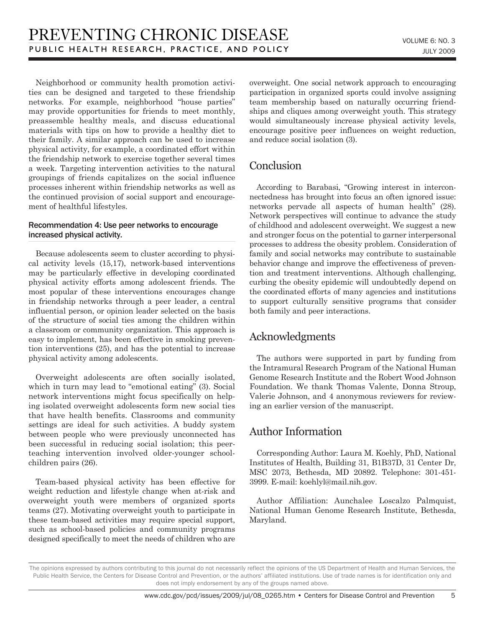Neighborhood or community health promotion activities can be designed and targeted to these friendship networks. For example, neighborhood "house parties" may provide opportunities for friends to meet monthly, preassemble healthy meals, and discuss educational materials with tips on how to provide a healthy diet to their family. A similar approach can be used to increase physical activity, for example, a coordinated effort within the friendship network to exercise together several times a week. Targeting intervention activities to the natural groupings of friends capitalizes on the social influence processes inherent within friendship networks as well as the continued provision of social support and encouragement of healthful lifestyles.

#### Recommendation 4: Use peer networks to encourage increased physical activity.

Because adolescents seem to cluster according to physical activity levels (15,17), network-based interventions may be particularly effective in developing coordinated physical activity efforts among adolescent friends. The most popular of these interventions encourages change in friendship networks through a peer leader, a central influential person, or opinion leader selected on the basis of the structure of social ties among the children within a classroom or community organization. This approach is easy to implement, has been effective in smoking prevention interventions (25), and has the potential to increase physical activity among adolescents.

Overweight adolescents are often socially isolated, which in turn may lead to "emotional eating" (3). Social network interventions might focus specifically on helping isolated overweight adolescents form new social ties that have health benefits. Classrooms and community settings are ideal for such activities. A buddy system between people who were previously unconnected has been successful in reducing social isolation; this peerteaching intervention involved older-younger schoolchildren pairs (26).

Team-based physical activity has been effective for weight reduction and lifestyle change when at-risk and overweight youth were members of organized sports teams (27). Motivating overweight youth to participate in these team-based activities may require special support, such as school-based policies and community programs designed specifically to meet the needs of children who are overweight. One social network approach to encouraging participation in organized sports could involve assigning team membership based on naturally occurring friendships and cliques among overweight youth. This strategy would simultaneously increase physical activity levels, encourage positive peer influences on weight reduction, and reduce social isolation (3).

# **Conclusion**

According to Barabasi, "Growing interest in interconnectedness has brought into focus an often ignored issue: networks pervade all aspects of human health" (28). Network perspectives will continue to advance the study of childhood and adolescent overweight. We suggest a new and stronger focus on the potential to garner interpersonal processes to address the obesity problem. Consideration of family and social networks may contribute to sustainable behavior change and improve the effectiveness of prevention and treatment interventions. Although challenging, curbing the obesity epidemic will undoubtedly depend on the coordinated efforts of many agencies and institutions to support culturally sensitive programs that consider both family and peer interactions.

# Acknowledgments

The authors were supported in part by funding from the Intramural Research Program of the National Human Genome Research Institute and the Robert Wood Johnson Foundation. We thank Thomas Valente, Donna Stroup, Valerie Johnson, and 4 anonymous reviewers for reviewing an earlier version of the manuscript.

## Author Information

Corresponding Author: Laura M. Koehly, PhD, National Institutes of Health, Building 31, B1B37D, 31 Center Dr, MSC 2073, Bethesda, MD 20892. Telephone: 301-451- 3999. E-mail: koehlyl@mail.nih.gov.

Author Affiliation: Aunchalee Loscalzo Palmquist, National Human Genome Research Institute, Bethesda, Maryland.

The opinions expressed by authors contributing to this journal do not necessarily reflect the opinions of the US Department of Health and Human Services, the Public Health Service, the Centers for Disease Control and Prevention, or the authors' affiliated institutions. Use of trade names is for identification only and does not imply endorsement by any of the groups named above.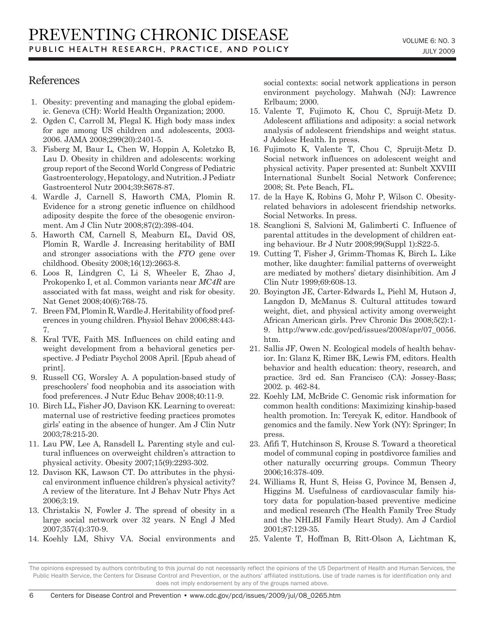### References

- 1. Obesity: preventing and managing the global epidemic. Geneva (CH): World Health Organization; 2000.
- 2. Ogden C, Carroll M, Flegal K. High body mass index for age among US children and adolescents, 2003- 2006. JAMA 2008;299(20):2401-5.
- 3. Fisberg M, Baur L, Chen W, Hoppin A, Koletzko B, Lau D. Obesity in children and adolescents: working group report of the Second World Congress of Pediatric Gastroenterology, Hepatology, and Nutrition. J Pediatr Gastroenterol Nutr 2004;39:S678-87.
- 4. Wardle J, Carnell S, Haworth CMA, Plomin R. Evidence for a strong genetic influence on childhood adiposity despite the force of the obesogenic environment. Am J Clin Nutr 2008;87(2):398-404.
- 5. Haworth CM, Carnell S, Meaburn EL, David OS, Plomin R, Wardle J. Increasing heritability of BMI and stronger associations with the *FTO* gene over childhood. Obesity 2008;16(12):2663-8.
- 6. Loos R, Lindgren C, Li S, Wheeler E, Zhao J, Prokopenko I, et al. Common variants near *MC4R* are associated with fat mass, weight and risk for obesity. Nat Genet 2008;40(6):768-75.
- 7. Breen FM, Plomin R, Wardle J. Heritability of food preferences in young children. Physiol Behav 2006;88:443- 7.
- 8. Kral TVE, Faith MS. Influences on child eating and weight development from a behavioral genetics perspective. J Pediatr Psychol 2008 April. [Epub ahead of print].
- 9. Russell CG, Worsley A. A population-based study of preschoolers' food neophobia and its association with food preferences. J Nutr Educ Behav 2008;40:11-9.
- 10. Birch LL, Fisher JO, Davison KK. Learning to overeat: maternal use of restrictive feeding practices promotes girls' eating in the absence of hunger. Am J Clin Nutr 2003;78:215-20.
- 11. Lau PW, Lee A, Ransdell L. Parenting style and cultural influences on overweight children's attraction to physical activity. Obesity 2007;15(9):2293-302.
- 12. Davison KK, Lawson CT. Do attributes in the physical environment influence children's physical activity? A review of the literature. Int J Behav Nutr Phys Act 2006;3:19.
- 13. Christakis N, Fowler J. The spread of obesity in a large social network over 32 years. N Engl J Med 2007;357(4):370-9.
- 14. Koehly LM, Shivy VA. Social environments and

social contexts: social network applications in person environment psychology. Mahwah (NJ): Lawrence Erlbaum; 2000.

- 15. Valente T, Fujimoto K, Chou C, Spruijt-Metz D. Adolescent affiliations and adiposity: a social network analysis of adolescent friendships and weight status. J Adolesc Health. In press.
- 16. Fujimoto K, Valente T, Chou C, Spruijt-Metz D. Social network influences on adolescent weight and physical activity. Paper presented at: Sunbelt XXVIII International Sunbelt Social Network Conference; 2008; St. Pete Beach, FL.
- 17. de la Haye K, Robins G, Mohr P, Wilson C. Obesityrelated behaviors in adolescent friendship networks. Social Networks. In press.
- 18. Scanglioni S, Salvioni M, Galimberti C. Influence of parental attitudes in the development of children eating behaviour. Br J Nutr 2008;99(Suppl 1):S22-5.
- 19. Cutting T, Fisher J, Grimm-Thomas K, Birch L. Like mother, like daughter: familial patterns of overweight are mediated by mothers' dietary disinhibition. Am J Clin Nutr 1999;69:608-13.
- 20. Boyington JE, Carter-Edwards L, Piehl M, Hutson J, Langdon D, McManus S. Cultural attitudes toward weight, diet, and physical activity among overweight African American girls. Prev Chronic Dis 2008;5(2):1- 9. http://www.cdc.gov/pcd/issues/2008/apr/07\_0056. htm.
- 21. Sallis JF, Owen N. Ecological models of health behavior. In: Glanz K, Rimer BK, Lewis FM, editors. Health behavior and health education: theory, research, and practice. 3rd ed. San Francisco (CA): Jossey-Bass; 2002. p. 462-84.
- 22. Koehly LM, McBride C. Genomic risk information for common health conditions: Maximizing kinship-based health promotion. In: Tercyak K, editor. Handbook of genomics and the family. New York (NY): Springer; In press.
- 23. Afifi T, Hutchinson S, Krouse S. Toward a theoretical model of communal coping in postdivorce families and other naturally occurring groups. Commun Theory 2006;16:378-409.
- 24. Williams R, Hunt S, Heiss G, Povince M, Bensen J, Higgins M. Usefulness of cardiovascular family history data for population-based preventive medicine and medical research (The Health Family Tree Study and the NHLBI Family Heart Study). Am J Cardiol 2001;87:129-35.
- 25. Valente T, Hoffman B, Ritt-Olson A, Lichtman K,

The opinions expressed by authors contributing to this journal do not necessarily reflect the opinions of the US Department of Health and Human Services, the Public Health Service, the Centers for Disease Control and Prevention, or the authors' affiliated institutions. Use of trade names is for identification only and does not imply endorsement by any of the groups named above.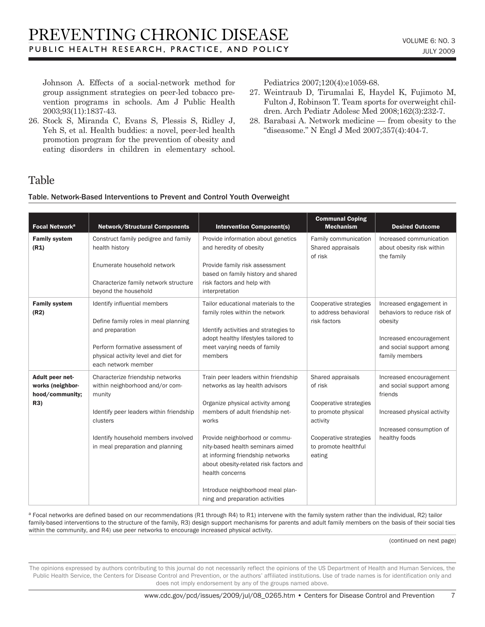Johnson A. Effects of a social-network method for group assignment strategies on peer-led tobacco prevention programs in schools. Am J Public Health 2003;93(11):1837-43.

26. Stock S, Miranda C, Evans S, Plessis S, Ridley J, Yeh S, et al. Health buddies: a novel, peer-led health promotion program for the prevention of obesity and eating disorders in children in elementary school. Pediatrics 2007;120(4):e1059-68.

- 27. Weintraub D, Tirumalai E, Haydel K, Fujimoto M, Fulton J, Robinson T. Team sports for overweight children. Arch Pediatr Adolesc Med 2008;162(3):232-7.
- 28. Barabasi A. Network medicine from obesity to the "diseasome." N Engl J Med 2007;357(4):404-7.

## Table

Table. Network-Based Interventions to Prevent and Control Youth Overweight

| Focal Network <sup>a</sup>                                    | <b>Network/Structural Components</b>                                                                                                                                                                            | <b>Intervention Component(s)</b>                                                                                                                                                                                                                                                                                                                                                                        | <b>Communal Coping</b><br><b>Mechanism</b>                                                                                                            | <b>Desired Outcome</b>                                                                                                                     |
|---------------------------------------------------------------|-----------------------------------------------------------------------------------------------------------------------------------------------------------------------------------------------------------------|---------------------------------------------------------------------------------------------------------------------------------------------------------------------------------------------------------------------------------------------------------------------------------------------------------------------------------------------------------------------------------------------------------|-------------------------------------------------------------------------------------------------------------------------------------------------------|--------------------------------------------------------------------------------------------------------------------------------------------|
| <b>Family system</b><br>(R1)                                  | Construct family pedigree and family<br>health history<br>Enumerate household network<br>Characterize family network structure<br>beyond the household                                                          | Provide information about genetics<br>and heredity of obesity<br>Provide family risk assessment<br>based on family history and shared<br>risk factors and help with<br>interpretation                                                                                                                                                                                                                   | Family communication<br>Shared appraisals<br>of risk                                                                                                  | Increased communication<br>about obesity risk within<br>the family                                                                         |
| <b>Family system</b><br>(R2)                                  | Identify influential members<br>Define family roles in meal planning<br>and preparation<br>Perform formative assessment of<br>physical activity level and diet for<br>each network member                       | Tailor educational materials to the<br>family roles within the network<br>Identify activities and strategies to<br>adopt healthy lifestyles tailored to<br>meet varying needs of family<br>members                                                                                                                                                                                                      | Cooperative strategies<br>to address behavioral<br>risk factors                                                                                       | Increased engagement in<br>behaviors to reduce risk of<br>obesity<br>Increased encouragement<br>and social support among<br>family members |
| Adult peer net-<br>works (neighbor-<br>hood/community;<br>R3) | Characterize friendship networks<br>within neighborhood and/or com-<br>munity<br>Identify peer leaders within friendship<br>clusters<br>Identify household members involved<br>in meal preparation and planning | Train peer leaders within friendship<br>networks as lay health advisors<br>Organize physical activity among<br>members of adult friendship net-<br>works<br>Provide neighborhood or commu-<br>nity-based health seminars aimed<br>at informing friendship networks<br>about obesity-related risk factors and<br>health concerns<br>Introduce neighborhood meal plan-<br>ning and preparation activities | Shared appraisals<br>of risk<br>Cooperative strategies<br>to promote physical<br>activity<br>Cooperative strategies<br>to promote healthful<br>eating | Increased encouragement<br>and social support among<br>friends<br>Increased physical activity<br>Increased consumption of<br>healthy foods |

a Focal networks are defined based on our recommendations (R1 through R4) to R1) intervene with the family system rather than the individual, R2) tailor family-based interventions to the structure of the family, R3) design support mechanisms for parents and adult family members on the basis of their social ties within the community, and R4) use peer networks to encourage increased physical activity.

(continued on next page)

The opinions expressed by authors contributing to this journal do not necessarily reflect the opinions of the US Department of Health and Human Services, the Public Health Service, the Centers for Disease Control and Prevention, or the authors' affiliated institutions. Use of trade names is for identification only and does not imply endorsement by any of the groups named above.